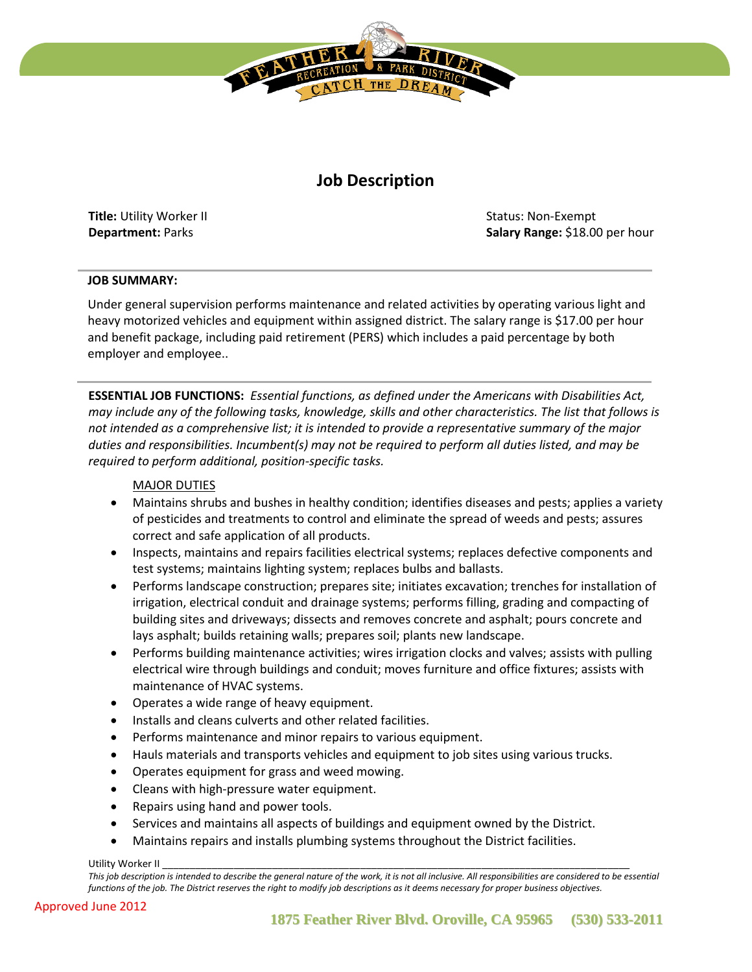

# **Job Description**

**Title:** Utility Worker II **Department:** Parks

Status: Non-Exempt **Salary Range:** \$18.00 per hour

#### **JOB SUMMARY:**

Under general supervision performs maintenance and related activities by operating various light and heavy motorized vehicles and equipment within assigned district. The salary range is \$17.00 per hour and benefit package, including paid retirement (PERS) which includes a paid percentage by both employer and employee..

**ESSENTIAL JOB FUNCTIONS:** *Essential functions, as defined under the Americans with Disabilities Act, may include any of the following tasks, knowledge, skills and other characteristics. The list that follows is not intended as a comprehensive list; it is intended to provide a representative summary of the major duties and responsibilities. Incumbent(s) may not be required to perform all duties listed, and may be required to perform additional, position-specific tasks.*

### MAJOR DUTIES

- Maintains shrubs and bushes in healthy condition; identifies diseases and pests; applies a variety of pesticides and treatments to control and eliminate the spread of weeds and pests; assures correct and safe application of all products.
- Inspects, maintains and repairs facilities electrical systems; replaces defective components and test systems; maintains lighting system; replaces bulbs and ballasts.
- Performs landscape construction; prepares site; initiates excavation; trenches for installation of irrigation, electrical conduit and drainage systems; performs filling, grading and compacting of building sites and driveways; dissects and removes concrete and asphalt; pours concrete and lays asphalt; builds retaining walls; prepares soil; plants new landscape.
- Performs building maintenance activities; wires irrigation clocks and valves; assists with pulling electrical wire through buildings and conduit; moves furniture and office fixtures; assists with maintenance of HVAC systems.
- Operates a wide range of heavy equipment.
- Installs and cleans culverts and other related facilities.
- Performs maintenance and minor repairs to various equipment.
- Hauls materials and transports vehicles and equipment to job sites using various trucks.
- Operates equipment for grass and weed mowing.
- Cleans with high-pressure water equipment.
- Repairs using hand and power tools.
- Services and maintains all aspects of buildings and equipment owned by the District.
- Maintains repairs and installs plumbing systems throughout the District facilities.

Utility Worker II

*This job description is intended to describe the general nature of the work, it is not all inclusive. All responsibilities are considered to be essential functions of the job. The District reserves the right to modify job descriptions as it deems necessary for proper business objectives.*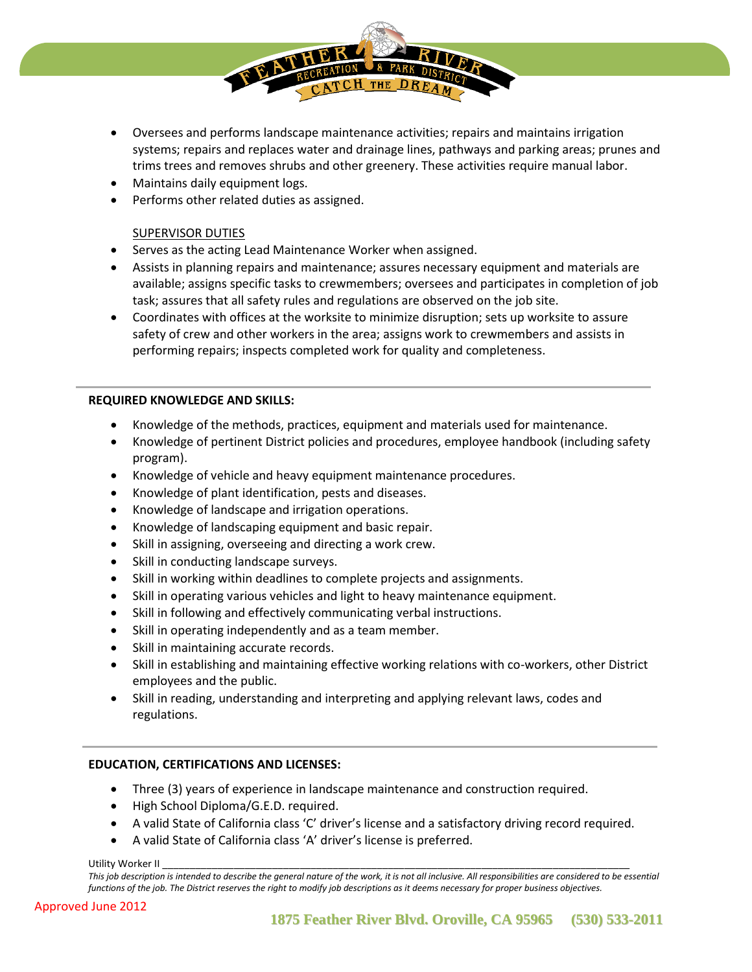- Oversees and performs landscape maintenance activities; repairs and maintains irrigation systems; repairs and replaces water and drainage lines, pathways and parking areas; prunes and trims trees and removes shrubs and other greenery. These activities require manual labor.
- Maintains daily equipment logs.
- Performs other related duties as assigned.

## SUPERVISOR DUTIES

- Serves as the acting Lead Maintenance Worker when assigned.
- Assists in planning repairs and maintenance; assures necessary equipment and materials are available; assigns specific tasks to crewmembers; oversees and participates in completion of job task; assures that all safety rules and regulations are observed on the job site.
- Coordinates with offices at the worksite to minimize disruption; sets up worksite to assure safety of crew and other workers in the area; assigns work to crewmembers and assists in performing repairs; inspects completed work for quality and completeness.

#### **REQUIRED KNOWLEDGE AND SKILLS:**

- Knowledge of the methods, practices, equipment and materials used for maintenance.
- Knowledge of pertinent District policies and procedures, employee handbook (including safety program).
- Knowledge of vehicle and heavy equipment maintenance procedures.
- Knowledge of plant identification, pests and diseases.
- Knowledge of landscape and irrigation operations.
- Knowledge of landscaping equipment and basic repair.
- Skill in assigning, overseeing and directing a work crew.
- Skill in conducting landscape surveys.
- Skill in working within deadlines to complete projects and assignments.
- Skill in operating various vehicles and light to heavy maintenance equipment.
- Skill in following and effectively communicating verbal instructions.
- Skill in operating independently and as a team member.
- Skill in maintaining accurate records.
- Skill in establishing and maintaining effective working relations with co-workers, other District employees and the public.
- Skill in reading, understanding and interpreting and applying relevant laws, codes and regulations.

## **EDUCATION, CERTIFICATIONS AND LICENSES:**

- Three (3) years of experience in landscape maintenance and construction required.
- High School Diploma/G.E.D. required.
- A valid State of California class 'C' driver's license and a satisfactory driving record required.
- A valid State of California class 'A' driver's license is preferred.

Utility Worker II

This job description is intended to describe the general nature of the work, it is not all inclusive. All responsibilities are considered to be essential *functions of the job. The District reserves the right to modify job descriptions as it deems necessary for proper business objectives.*